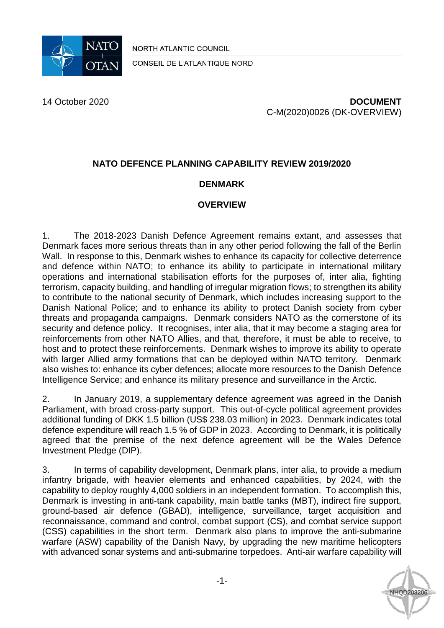

NORTH ATLANTIC COUNCIL

CONSEIL DE L'ATLANTIQUE NORD

14 October 2020 **DOCUMENT** C-M(2020)0026 (DK-OVERVIEW)

# **NATO DEFENCE PLANNING CAPABILITY REVIEW 2019/2020**

### **DENMARK**

#### **OVERVIEW**

1. The 2018-2023 Danish Defence Agreement remains extant, and assesses that Denmark faces more serious threats than in any other period following the fall of the Berlin Wall. In response to this, Denmark wishes to enhance its capacity for collective deterrence and defence within NATO; to enhance its ability to participate in international military operations and international stabilisation efforts for the purposes of, inter alia, fighting terrorism, capacity building, and handling of irregular migration flows; to strengthen its ability to contribute to the national security of Denmark, which includes increasing support to the Danish National Police; and to enhance its ability to protect Danish society from cyber threats and propaganda campaigns. Denmark considers NATO as the cornerstone of its security and defence policy. It recognises, inter alia, that it may become a staging area for reinforcements from other NATO Allies, and that, therefore, it must be able to receive, to host and to protect these reinforcements. Denmark wishes to improve its ability to operate with larger Allied army formations that can be deployed within NATO territory. Denmark also wishes to: enhance its cyber defences; allocate more resources to the Danish Defence Intelligence Service; and enhance its military presence and surveillance in the Arctic.

2. In January 2019, a supplementary defence agreement was agreed in the Danish Parliament, with broad cross-party support. This out-of-cycle political agreement provides additional funding of DKK 1.5 billion (US\$ 238.03 million) in 2023. Denmark indicates total defence expenditure will reach 1.5 % of GDP in 2023. According to Denmark, it is politically agreed that the premise of the next defence agreement will be the Wales Defence Investment Pledge (DIP).

3. In terms of capability development, Denmark plans, inter alia, to provide a medium infantry brigade, with heavier elements and enhanced capabilities, by 2024, with the capability to deploy roughly 4,000 soldiers in an independent formation. To accomplish this, Denmark is investing in anti-tank capability, main battle tanks (MBT), indirect fire support, ground-based air defence (GBAD), intelligence, surveillance, target acquisition and reconnaissance, command and control, combat support (CS), and combat service support (CSS) capabilities in the short term. Denmark also plans to improve the anti-submarine warfare (ASW) capability of the Danish Navy, by upgrading the new maritime helicopters with advanced sonar systems and anti-submarine torpedoes. Anti-air warfare capability will

**NHQD20320**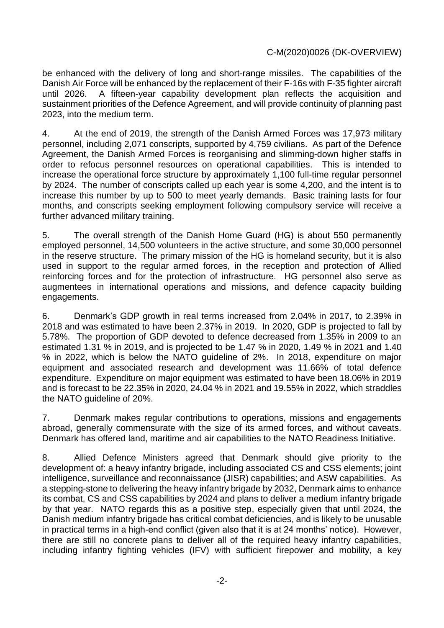be enhanced with the delivery of long and short-range missiles.The capabilities of the Danish Air Force will be enhanced by the replacement of their F-16s with F-35 fighter aircraft until 2026. A fifteen-year capability development plan reflects the acquisition and sustainment priorities of the Defence Agreement, and will provide continuity of planning past 2023, into the medium term.

4. At the end of 2019, the strength of the Danish Armed Forces was 17,973 military personnel, including 2,071 conscripts, supported by 4,759 civilians. As part of the Defence Agreement, the Danish Armed Forces is reorganising and slimming-down higher staffs in order to refocus personnel resources on operational capabilities. This is intended to increase the operational force structure by approximately 1,100 full-time regular personnel by 2024. The number of conscripts called up each year is some 4,200, and the intent is to increase this number by up to 500 to meet yearly demands. Basic training lasts for four months, and conscripts seeking employment following compulsory service will receive a further advanced military training.

5. The overall strength of the Danish Home Guard (HG) is about 550 permanently employed personnel, 14,500 volunteers in the active structure, and some 30,000 personnel in the reserve structure. The primary mission of the HG is homeland security, but it is also used in support to the regular armed forces, in the reception and protection of Allied reinforcing forces and for the protection of infrastructure. HG personnel also serve as augmentees in international operations and missions, and defence capacity building engagements.

6. Denmark's GDP growth in real terms increased from 2.04% in 2017, to 2.39% in 2018 and was estimated to have been 2.37% in 2019. In 2020, GDP is projected to fall by 5.78%. The proportion of GDP devoted to defence decreased from 1.35% in 2009 to an estimated 1.31 % in 2019, and is projected to be 1.47 % in 2020, 1.49 % in 2021 and 1.40 % in 2022, which is below the NATO guideline of 2%. In 2018, expenditure on major equipment and associated research and development was 11.66% of total defence expenditure. Expenditure on major equipment was estimated to have been 18.06% in 2019 and is forecast to be 22.35% in 2020, 24.04 % in 2021 and 19.55% in 2022, which straddles the NATO guideline of 20%.

7. Denmark makes regular contributions to operations, missions and engagements abroad, generally commensurate with the size of its armed forces, and without caveats. Denmark has offered land, maritime and air capabilities to the NATO Readiness Initiative.

8. Allied Defence Ministers agreed that Denmark should give priority to the development of: a heavy infantry brigade, including associated CS and CSS elements; joint intelligence, surveillance and reconnaissance (JISR) capabilities; and ASW capabilities.As a stepping-stone to delivering the heavy infantry brigade by 2032, Denmark aims to enhance its combat, CS and CSS capabilities by 2024 and plans to deliver a medium infantry brigade by that year. NATO regards this as a positive step, especially given that until 2024, the Danish medium infantry brigade has critical combat deficiencies, and is likely to be unusable in practical terms in a high-end conflict (given also that it is at 24 months' notice). However, there are still no concrete plans to deliver all of the required heavy infantry capabilities, including infantry fighting vehicles (IFV) with sufficient firepower and mobility, a key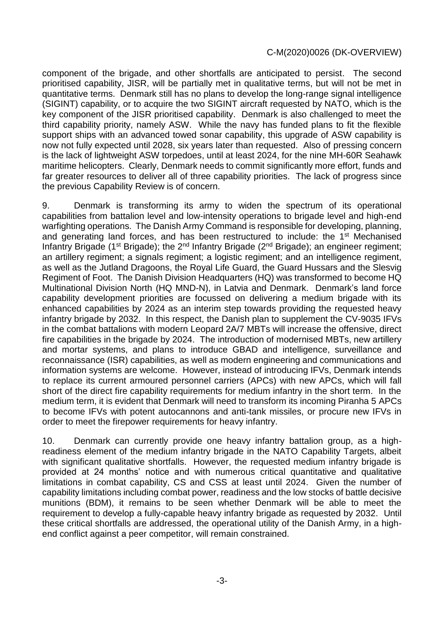component of the brigade, and other shortfalls are anticipated to persist.The second prioritised capability, JISR, will be partially met in qualitative terms, but will not be met in quantitative terms. Denmark still has no plans to develop the long-range signal intelligence (SIGINT) capability, or to acquire the two SIGINT aircraft requested by NATO, which is the key component of the JISR prioritised capability. Denmark is also challenged to meet the third capability priority, namely ASW. While the navy has funded plans to fit the flexible support ships with an advanced towed sonar capability, this upgrade of ASW capability is now not fully expected until 2028, six years later than requested. Also of pressing concern is the lack of lightweight ASW torpedoes, until at least 2024, for the nine MH-60R Seahawk maritime helicopters.Clearly, Denmark needs to commit significantly more effort, funds and far greater resources to deliver all of three capability priorities. The lack of progress since the previous Capability Review is of concern.

9. Denmark is transforming its army to widen the spectrum of its operational capabilities from battalion level and low-intensity operations to brigade level and high-end warfighting operations. The Danish Army Command is responsible for developing, planning, and generating land forces, and has been restructured to include: the 1<sup>st</sup> Mechanised Infantry Brigade (1<sup>st</sup> Brigade); the 2<sup>nd</sup> Infantry Brigade (2<sup>nd</sup> Brigade); an engineer regiment; an artillery regiment; a signals regiment; a logistic regiment; and an intelligence regiment, as well as the Jutland Dragoons, the Royal Life Guard, the Guard Hussars and the Slesvig Regiment of Foot. The Danish Division Headquarters (HQ) was transformed to become HQ Multinational Division North (HQ MND-N), in Latvia and Denmark. Denmark's land force capability development priorities are focussed on delivering a medium brigade with its enhanced capabilities by 2024 as an interim step towards providing the requested heavy infantry brigade by 2032. In this respect, the Danish plan to supplement the CV-9035 IFVs in the combat battalions with modern Leopard 2A/7 MBTs will increase the offensive, direct fire capabilities in the brigade by 2024. The introduction of modernised MBTs, new artillery and mortar systems, and plans to introduce GBAD and intelligence, surveillance and reconnaissance (ISR) capabilities, as well as modern engineering and communications and information systems are welcome. However, instead of introducing IFVs, Denmark intends to replace its current armoured personnel carriers (APCs) with new APCs, which will fall short of the direct fire capability requirements for medium infantry in the short term. In the medium term, it is evident that Denmark will need to transform its incoming Piranha 5 APCs to become IFVs with potent autocannons and anti-tank missiles, or procure new IFVs in order to meet the firepower requirements for heavy infantry.

10. Denmark can currently provide one heavy infantry battalion group, as a highreadiness element of the medium infantry brigade in the NATO Capability Targets, albeit with significant qualitative shortfalls. However, the requested medium infantry brigade is provided at 24 months' notice and with numerous critical quantitative and qualitative limitations in combat capability, CS and CSS at least until 2024. Given the number of capability limitations including combat power, readiness and the low stocks of battle decisive munitions (BDM), it remains to be seen whether Denmark will be able to meet the requirement to develop a fully-capable heavy infantry brigade as requested by 2032. Until these critical shortfalls are addressed, the operational utility of the Danish Army, in a highend conflict against a peer competitor, will remain constrained.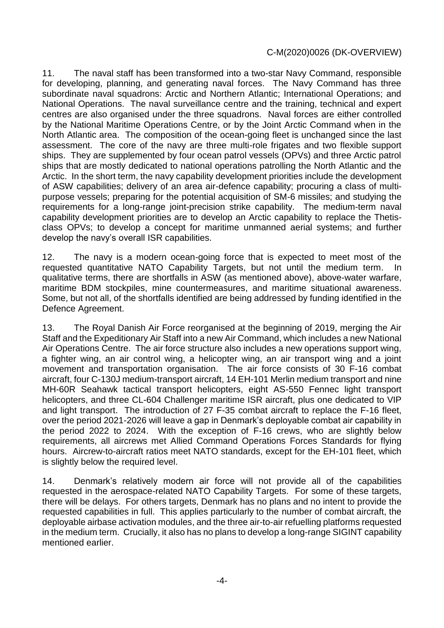11. The naval staff has been transformed into a two-star Navy Command, responsible for developing, planning, and generating naval forces. The Navy Command has three subordinate naval squadrons: Arctic and Northern Atlantic; International Operations; and National Operations. The naval surveillance centre and the training, technical and expert centres are also organised under the three squadrons. Naval forces are either controlled by the National Maritime Operations Centre, or by the Joint Arctic Command when in the North Atlantic area. The composition of the ocean-going fleet is unchanged since the last assessment. The core of the navy are three multi-role frigates and two flexible support ships. They are supplemented by four ocean patrol vessels (OPVs) and three Arctic patrol ships that are mostly dedicated to national operations patrolling the North Atlantic and the Arctic. In the short term, the navy capability development priorities include the development of ASW capabilities; delivery of an area air-defence capability; procuring a class of multipurpose vessels; preparing for the potential acquisition of SM-6 missiles; and studying the requirements for a long-range joint-precision strike capability. The medium-term naval capability development priorities are to develop an Arctic capability to replace the Thetisclass OPVs; to develop a concept for maritime unmanned aerial systems; and further develop the navy's overall ISR capabilities.

12. The navy is a modern ocean-going force that is expected to meet most of the requested quantitative NATO Capability Targets, but not until the medium term. In qualitative terms, there are shortfalls in ASW (as mentioned above), above-water warfare, maritime BDM stockpiles, mine countermeasures, and maritime situational awareness. Some, but not all, of the shortfalls identified are being addressed by funding identified in the Defence Agreement.

13. The Royal Danish Air Force reorganised at the beginning of 2019, merging the Air Staff and the Expeditionary Air Staff into a new Air Command, which includes a new National Air Operations Centre. The air force structure also includes a new operations support wing, a fighter wing, an air control wing, a helicopter wing, an air transport wing and a joint movement and transportation organisation. The air force consists of 30 F-16 combat aircraft, four C-130J medium-transport aircraft, 14 EH-101 Merlin medium transport and nine MH-60R Seahawk tactical transport helicopters, eight AS-550 Fennec light transport helicopters, and three CL-604 Challenger maritime ISR aircraft, plus one dedicated to VIP and light transport. The introduction of 27 F-35 combat aircraft to replace the F-16 fleet, over the period 2021-2026 will leave a gap in Denmark's deployable combat air capability in the period 2022 to 2024. With the exception of F-16 crews, who are slightly below requirements, all aircrews met Allied Command Operations Forces Standards for flying hours. Aircrew-to-aircraft ratios meet NATO standards, except for the EH-101 fleet, which is slightly below the required level.

14. Denmark's relatively modern air force will not provide all of the capabilities requested in the aerospace-related NATO Capability Targets. For some of these targets, there will be delays. For others targets, Denmark has no plans and no intent to provide the requested capabilities in full. This applies particularly to the number of combat aircraft, the deployable airbase activation modules, and the three air-to-air refuelling platforms requested in the medium term. Crucially, it also has no plans to develop a long-range SIGINT capability mentioned earlier.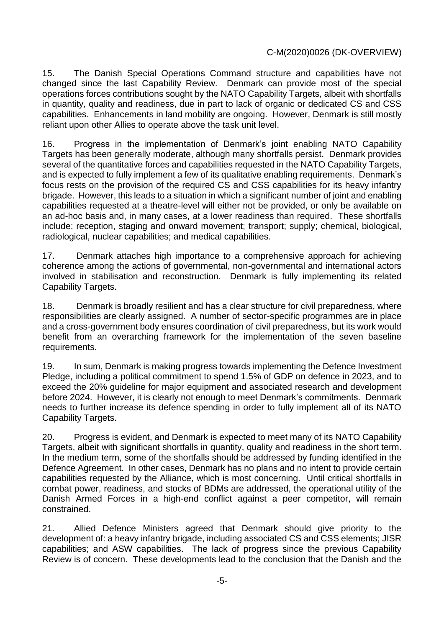15. The Danish Special Operations Command structure and capabilities have not changed since the last Capability Review. Denmark can provide most of the special operations forces contributions sought by the NATO Capability Targets, albeit with shortfalls in quantity, quality and readiness, due in part to lack of organic or dedicated CS and CSS capabilities. Enhancements in land mobility are ongoing. However, Denmark is still mostly reliant upon other Allies to operate above the task unit level.

16. Progress in the implementation of Denmark's joint enabling NATO Capability Targets has been generally moderate, although many shortfalls persist. Denmark provides several of the quantitative forces and capabilities requested in the NATO Capability Targets, and is expected to fully implement a few of its qualitative enabling requirements. Denmark's focus rests on the provision of the required CS and CSS capabilities for its heavy infantry brigade. However, this leads to a situation in which a significant number of joint and enabling capabilities requested at a theatre-level will either not be provided, or only be available on an ad-hoc basis and, in many cases, at a lower readiness than required. These shortfalls include: reception, staging and onward movement; transport; supply; chemical, biological, radiological, nuclear capabilities; and medical capabilities.

17. Denmark attaches high importance to a comprehensive approach for achieving coherence among the actions of governmental, non-governmental and international actors involved in stabilisation and reconstruction. Denmark is fully implementing its related Capability Targets.

18. Denmark is broadly resilient and has a clear structure for civil preparedness, where responsibilities are clearly assigned. A number of sector-specific programmes are in place and a cross-government body ensures coordination of civil preparedness, but its work would benefit from an overarching framework for the implementation of the seven baseline requirements.

19. In sum, Denmark is making progress towards implementing the Defence Investment Pledge, including a political commitment to spend 1.5% of GDP on defence in 2023, and to exceed the 20% guideline for major equipment and associated research and development before 2024. However, it is clearly not enough to meet Denmark's commitments. Denmark needs to further increase its defence spending in order to fully implement all of its NATO Capability Targets.

20. Progress is evident, and Denmark is expected to meet many of its NATO Capability Targets, albeit with significant shortfalls in quantity, quality and readiness in the short term. In the medium term, some of the shortfalls should be addressed by funding identified in the Defence Agreement. In other cases, Denmark has no plans and no intent to provide certain capabilities requested by the Alliance, which is most concerning. Until critical shortfalls in combat power, readiness, and stocks of BDMs are addressed, the operational utility of the Danish Armed Forces in a high-end conflict against a peer competitor, will remain constrained.

21. Allied Defence Ministers agreed that Denmark should give priority to the development of: a heavy infantry brigade, including associated CS and CSS elements; JISR capabilities; and ASW capabilities.The lack of progress since the previous Capability Review is of concern. These developments lead to the conclusion that the Danish and the